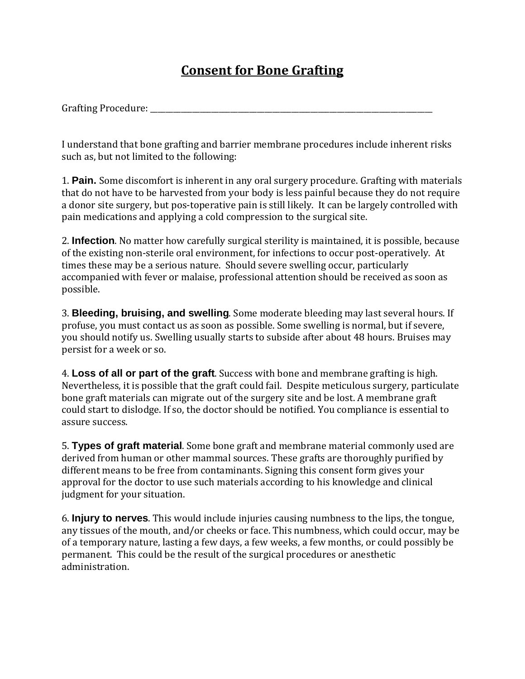## **Consent for Bone Grafting**

I understand that bone grafting and barrier membrane procedures include inherent risks such as, but not limited to the following:

1. **Pain.** Some discomfort is inherent in any oral surgery procedure. Grafting with materials that do not have to be harvested from your body is less painful because they do not require a donor site surgery, but pos-toperative pain is still likely. It can be largely controlled with pain medications and applying a cold compression to the surgical site.

2. **Infection**. No matter how carefully surgical sterility is maintained, it is possible, because of the existing non-sterile oral environment, for infections to occur post-operatively. At times these may be a serious nature. Should severe swelling occur, particularly accompanied with fever or malaise, professional attention should be received as soon as possible.

3. **Bleeding, bruising, and swelling**. Some moderate bleeding may last several hours. If profuse, you must contact us as soon as possible. Some swelling is normal, but if severe, you should notify us. Swelling usually starts to subside after about 48 hours. Bruises may persist for a week or so.

4. **Loss of all or part of the graft**. Success with bone and membrane grafting is high. Nevertheless, it is possible that the graft could fail. Despite meticulous surgery, particulate bone graft materials can migrate out of the surgery site and be lost. A membrane graft could start to dislodge. If so, the doctor should be notified. You compliance is essential to assure success.

5. **Types of graft material**. Some bone graft and membrane material commonly used are derived from human or other mammal sources. These grafts are thoroughly purified by different means to be free from contaminants. Signing this consent form gives your approval for the doctor to use such materials according to his knowledge and clinical judgment for your situation.

6. **Injury to nerves**. This would include injuries causing numbness to the lips, the tongue, any tissues of the mouth, and/or cheeks or face. This numbness, which could occur, may be of a temporary nature, lasting a few days, a few weeks, a few months, or could possibly be permanent. This could be the result of the surgical procedures or anesthetic administration.